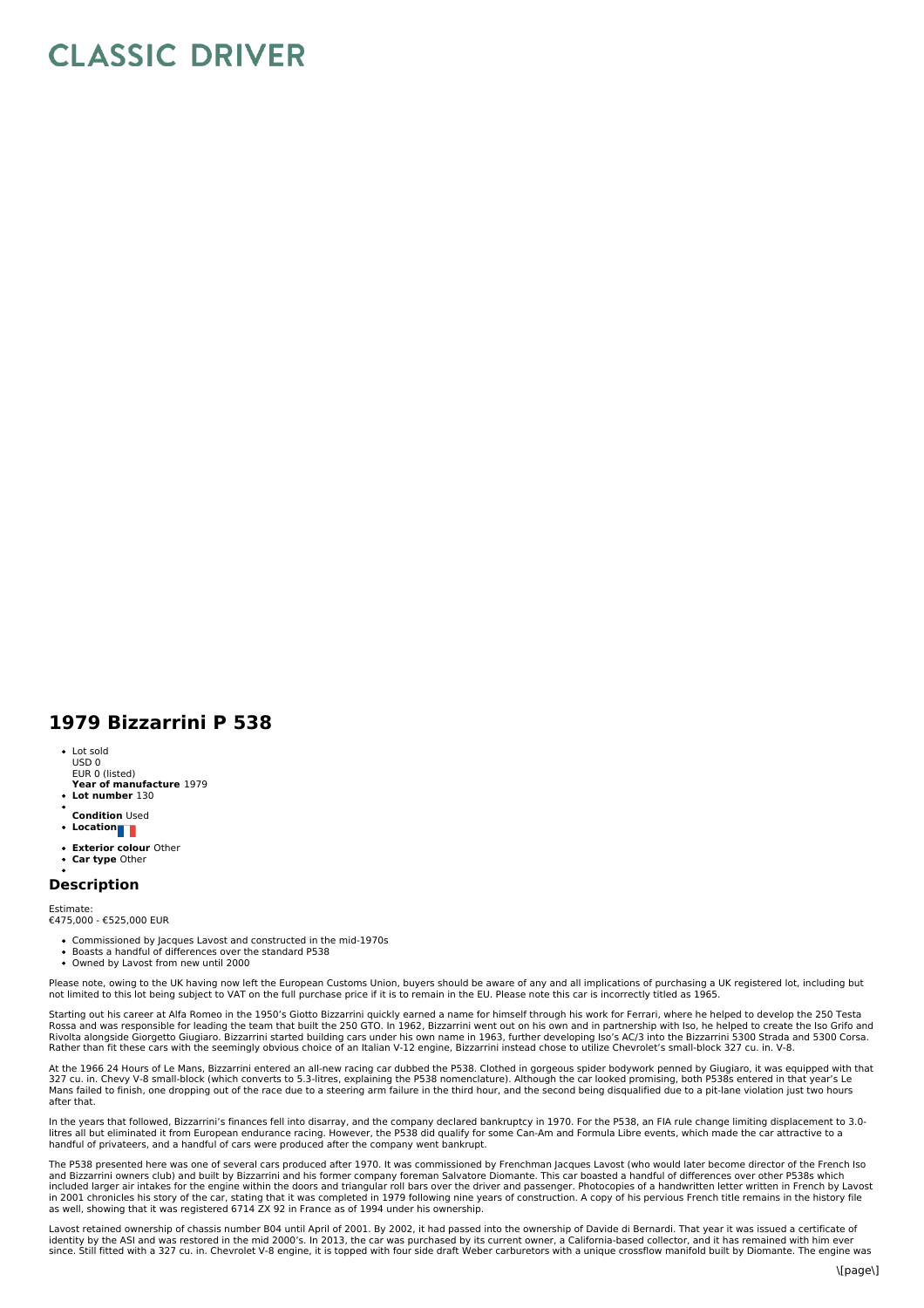## **CLASSIC DRIVER**

## **1979 Bizzarrini P 538**

- Lot sold
- USD 0 EUR 0 (listed)
- **Year of manufacture** 1979 **Lot number** 130
- 
- **Condition** Used
- **Location**
- **Exterior colour** Other
- **Car type** Other

## **Description**

Estimate: €475,000 - €525,000 EUR

- Commissioned by Jacques Lavost and constructed in the mid-1970s<br>Boasts a handful of differences over the standard P538
- 
- Owned by Lavost from new until 2000

Please note, owing to the UK having now left the European Customs Union, buyers should be aware of any and all implications of purchasing a UK registered lot, including but not limited to this lot being subject to VAT on the full purchase price if it is to remain in the EU. Please note this car is incorrectly titled as 1965.

Starting out his career at Alfa Romeo in the 1950's Giotto Bizzarrini quickly earned a name for himself through his work for Ferrari, where he helped to develop the 250 Testa<br>Rossa and was responsible for leading the team Rather than fit these cars with the seemingly obvious choice of an Italian V-12 engine, Bizzarrini instead chose to utilize Chevrolet's small-block 327 cu. in. V-8.

At the 1966 24 Hours of Le Mans, Bizzarrini entered an all-new racing car dubbed the P538. Clothed in gorgeous spider bodywork penned by Giugiaro, it was equipped with that 327 cu. in. Chevy V-8 small-block (which converts to 5.3-litres, explaining the P538 nomenclature). Although the car looked promising, both P538s entered in that year's Le<br>Mans failed to finish, one dropping out of the rac after that.

In the years that followed, Bizzarrini's finances fell into disarray, and the company declared bankruptcy in 1970. For the P538, an FIA rule change limiting displacement to 3.0 litres all but eliminated it from European endurance racing. However, the P538 did qualify for some Can-Am and Formula Libre events, which made the car attractive to a handful of privateers, and a handful of cars were produced after the company went bankrupt.

The P538 presented here was one of several cars produced after 1970. It was commissioned by Frenchman Jacques Lavost (who would later become director of the French Iso and Bizzarrini owners club) and built by Bizzarrini and his former company foreman Salvatore Diomante. This car boasted a handful of differences over other P538s which<br>included larger air intakes for the engine within the in 2001 chronicles his story of the car, stating that it was completed in 1979 following nine years of construction. A copy of his pervious French title remains in the history file<br>as well, showing that it was registered 6

Lavost retained ownership of chassis number B04 until April of 2001. By 2002, it had passed into the ownership of Davide di Bernardi. That year it was issued a certificate of identity by the ASI and was restored in the mid 2000's. In 2013, the car was purchased by its current owner, a California-based collector, and it has remained with him ever<br>since. Still fitted with a 327 cu. in. Chevrolet